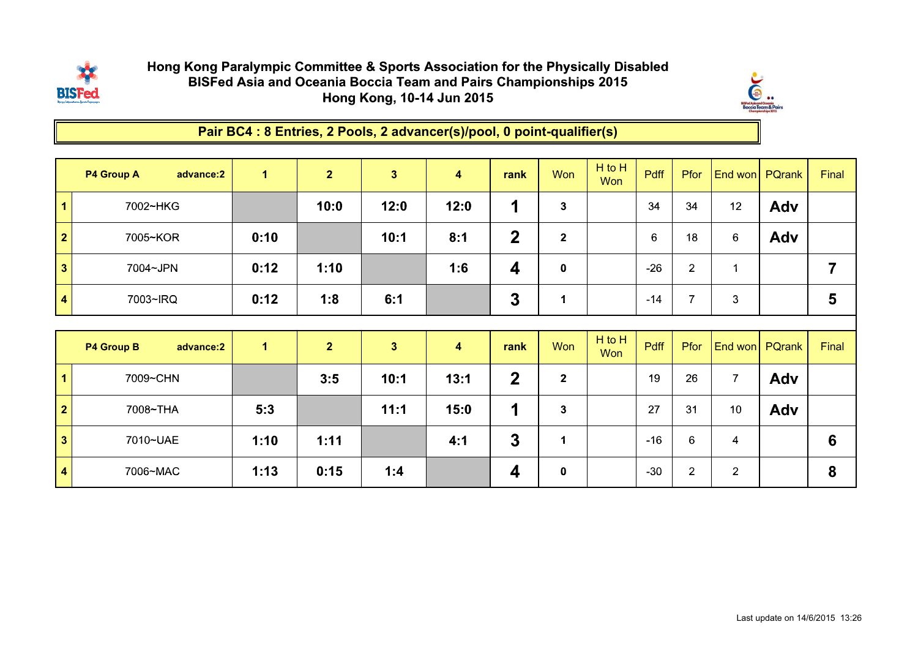

## Hong Kong Paralympic Committee & Sports Association for the Physically DisabledBISFed Asia and Oceania Boccia Team and Pairs Championships 2015Hong Kong, 10-14 Jun 2015



Pair BC4 : 8 Entries, 2 Pools, 2 advancer(s)/pool, 0 point-qualifier(s)

|                         | <b>P4 Group A</b><br>advance:2 | $\mathbf{1}$ | $\overline{2}$ | $\overline{\mathbf{3}}$ | $\blacktriangleleft$ | rank                    | <b>Won</b>   | H to H<br>Won | <b>Pdff</b>      | Pfor           | <b>End won</b>          | PQrank | Final          |
|-------------------------|--------------------------------|--------------|----------------|-------------------------|----------------------|-------------------------|--------------|---------------|------------------|----------------|-------------------------|--------|----------------|
| $\overline{1}$          | 7002~HKG                       |              | 10:0           | 12:0                    | 12:0                 | 1                       | $\mathbf 3$  |               | 34               | 34             | 12                      | Adv    |                |
| $\overline{\mathbf{2}}$ | 7005~KOR                       | 0:10         |                | 10:1                    | 8:1                  | $\overline{2}$          | $\mathbf{2}$ |               | $\boldsymbol{6}$ | 18             | $6\phantom{1}6$         | Adv    |                |
| $\overline{\mathbf{3}}$ | 7004~JPN                       | 0:12         | 1:10           |                         | 1:6                  | $\overline{\mathbf{4}}$ | $\pmb{0}$    |               | $-26$            | $\overline{2}$ | $\mathbf 1$             |        | $\overline{7}$ |
| $\overline{\mathbf{4}}$ | 7003~IRQ                       | 0:12         | 1:8            | 6:1                     |                      | 3                       | 1            |               | $-14$            | $\overline{7}$ | 3                       |        | 5              |
|                         |                                |              |                |                         |                      |                         |              |               |                  |                |                         |        |                |
|                         | <b>P4 Group B</b><br>advance:2 | $\mathbf{1}$ | $\overline{2}$ | $\overline{\mathbf{3}}$ | $\boldsymbol{4}$     | rank                    | Won          | H to H<br>Won | Pdff             | Pfor           | End won                 | PQrank | Final          |
| $\overline{1}$          | 7009~CHN                       |              | 3:5            | 10:1                    | 13:1                 | $\overline{2}$          | $\mathbf{2}$ |               | 19               | 26             | $\overline{7}$          | Adv    |                |
| $\overline{\mathbf{2}}$ | 7008~THA                       | 5:3          |                | 11:1                    | 15:0                 | 1                       | $\mathbf{3}$ |               | 27               | 31             | 10 <sup>°</sup>         | Adv    |                |
| $\overline{\mathbf{3}}$ | 7010~UAE                       | 1:10         | 1:11           |                         | 4:1                  | $\mathbf{3}$            | $\mathbf{1}$ |               | $-16$            | 6              | $\overline{\mathbf{4}}$ |        | 6              |
|                         |                                |              |                |                         |                      | $\overline{\mathbf{4}}$ |              |               | $-30$            | $\overline{2}$ |                         |        | 8              |